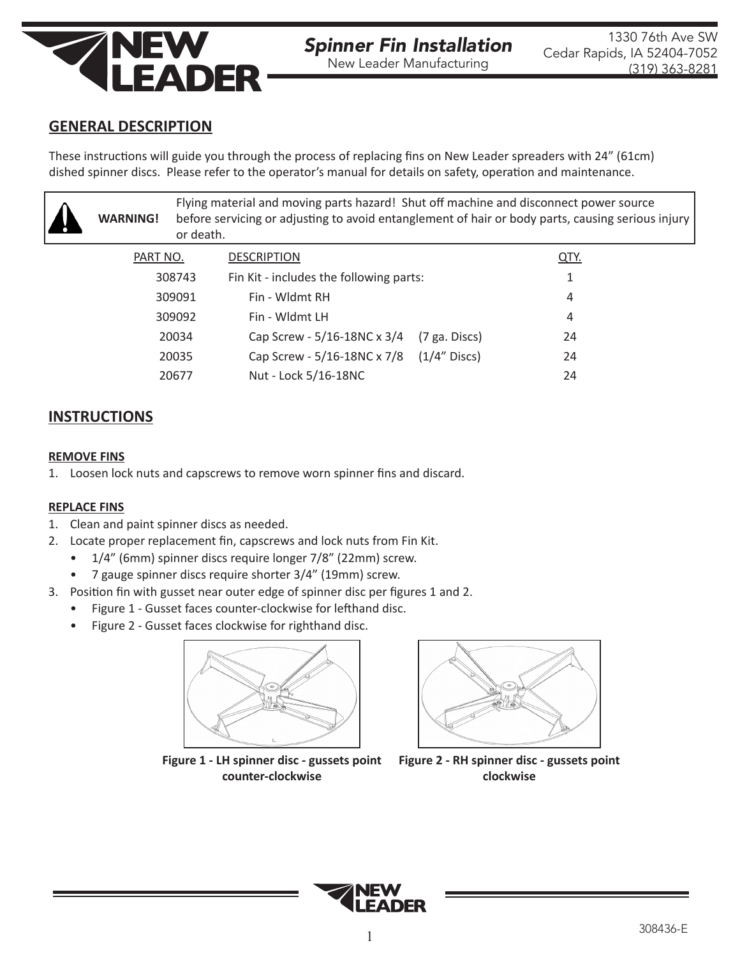

## **GENERAL DESCRIPTION**

These instructions will guide you through the process of replacing fins on New Leader spreaders with 24" (61cm) dished spinner discs. Please refer to the operator's manual for details on safety, operation and maintenance.

| <b>WARNING!</b> | Flying material and moving parts hazard! Shut off machine and disconnect power source<br>before servicing or adjusting to avoid entanglement of hair or body parts, causing serious injury<br>or death. |             |
|-----------------|---------------------------------------------------------------------------------------------------------------------------------------------------------------------------------------------------------|-------------|
| PART NO.        | <b>DESCRIPTION</b>                                                                                                                                                                                      | <b>QTY.</b> |
| 308743          | Fin Kit - includes the following parts:                                                                                                                                                                 |             |
| 309091          | Fin - Wldmt RH                                                                                                                                                                                          | 4           |
| 309092          | Fin - Wldmt LH                                                                                                                                                                                          | 4           |
| 20034           | Cap Screw - 5/16-18NC x 3/4<br>$(7$ ga. Discs)                                                                                                                                                          | 24          |
| 20035           | Cap Screw - 5/16-18NC x 7/8 (1/4" Discs)                                                                                                                                                                | 24          |
| 20677           | Nut - Lock 5/16-18NC                                                                                                                                                                                    | 24          |

## **INSTRUCTIONS**

## **REMOVE FINS**

1. Loosen lock nuts and capscrews to remove worn spinner fins and discard.

## **REPLACE FINS**

- 1. Clean and paint spinner discs as needed.
- 2. Locate proper replacement fin, capscrews and lock nuts from Fin Kit.
	- 1/4" (6mm) spinner discs require longer 7/8" (22mm) screw.
	- 7 gauge spinner discs require shorter 3/4" (19mm) screw.
- 3. Position fin with gusset near outer edge of spinner disc per figures 1 and 2.
	- Figure 1 Gusset faces counter-clockwise for lefthand disc.
	- Figure 2 Gusset faces clockwise for righthand disc.



**counter-clockwise**



**Figure 2 - RH spinner disc - gussets point clockwise**